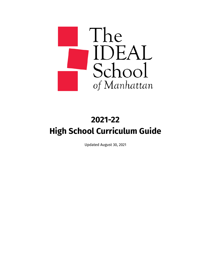

# **2021-22 High School Curriculum Guide**

Updated August 30, 2021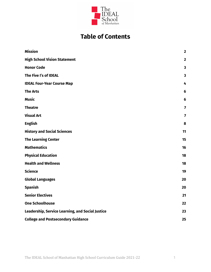

# **Table of Contents**

| <b>Mission</b>                                   | $\overline{\mathbf{2}}$ |
|--------------------------------------------------|-------------------------|
| <b>High School Vision Statement</b>              | $\overline{2}$          |
| <b>Honor Code</b>                                | $\overline{\mathbf{3}}$ |
| The Five I's of IDEAL                            | $\overline{\mathbf{3}}$ |
| <b>IDEAL Four-Year Course Map</b>                | 4                       |
| <b>The Arts</b>                                  | 6                       |
| <b>Music</b>                                     | $6\phantom{1}$          |
| <b>Theatre</b>                                   | $\overline{\mathbf{z}}$ |
| <b>Visual Art</b>                                | 7                       |
| <b>English</b>                                   | 8                       |
| <b>History and Social Sciences</b>               | 11                      |
| <b>The Learning Center</b>                       | 15                      |
| <b>Mathematics</b>                               | 16                      |
| <b>Physical Education</b>                        | 18                      |
| <b>Health and Wellness</b>                       | 18                      |
| <b>Science</b>                                   | 19                      |
| <b>Global Languages</b>                          | 20                      |
| <b>Spanish</b>                                   | 20                      |
| <b>Senior Electives</b>                          | 21                      |
| <b>One Schoolhouse</b>                           | 22                      |
| Leadership, Service Learning, and Social Justice | 23                      |
| <b>College and Postsecondary Guidance</b>        | 25                      |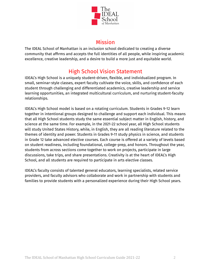

# Mission

<span id="page-2-0"></span>The IDEAL School of Manhattan is an inclusion school dedicated to creating a diverse community that affirms and accepts the full identities of all people, while inspiring academic excellence, creative leadership, and a desire to build a more just and equitable world.

# High School Vision Statement

<span id="page-2-1"></span>IDEAL's High School is a uniquely student-driven, flexible, and individualized program. In small, seminar-style classes, expert faculty cultivate the voice, skills, and confidence of each student through challenging and differentiated academics, creative leadership and service learning opportunities, an integrated multicultural curriculum, and nurturing student-faculty relationships.

IDEAL's High School model is based on a rotating curriculum. Students in Grades 9-12 learn together in intentional groups designed to challenge and support each individual. This means that all High School students study the same essential subject matter in English, history, and science at the same time. For example, in the 2021-22 school year, all High School students will study United States History, while, in English, they are all reading literature related to the themes of identity and power. Students in Grades 9-11 study physics in science, and students in Grade 12 take advanced elective courses. Each course is offered at a variety of levels based on student readiness, including foundational, college-prep, and honors. Throughout the year, students from across sections come together to work on projects, participate in large discussions, take trips, and share presentations. Creativity is at the heart of IDEAL's High School, and all students are required to participate in arts elective classes.

IDEAL's faculty consists of talented general educators, learning specialists, related service providers, and faculty advisors who collaborate and work in partnership with students and families to provide students with a personalized experience during their High School years.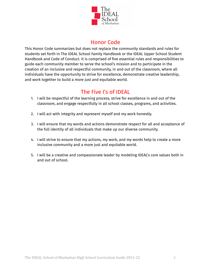

# Honor Code

<span id="page-3-0"></span>This Honor Code summarizes but does not replace the community standards and rules for students set forth in The IDEAL School Family Handbook or the IDEAL Upper School Student Handbook and Code of Conduct. It is comprised of five essential rules and responsibilities to guide each community member to serve the school's mission and to participate in the creation of an inclusive and respectful community, in and out of the classroom, where all individuals have the opportunity to strive for excellence, demonstrate creative leadership, and work together to build a more just and equitable world.

# The Five I's of IDEAL

- <span id="page-3-1"></span>1. I will be respectful of the learning process, strive for excellence in and out of the classroom, and engage respectfully in all school classes, programs, and activities.
- 2. I will act with integrity and represent myself and my work honestly.
- 3. I will ensure that my words and actions demonstrate respect for all and acceptance of the full identity of all individuals that make up our diverse community.
- 4. I will strive to ensure that my actions, my work, and my words help to create a more inclusive community and a more just and equitable world.
- 5. I will be a creative and compassionate leader by modeling IDEAL's core values both in and out of school.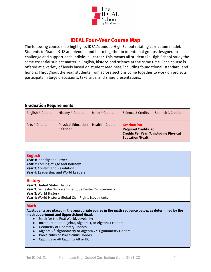

# **IDEAL Four-Year Course Map**

<span id="page-4-0"></span>The following course map highlights IDEAL's unique High School rotating curriculum model. Students in Grades 9-12 are blended and learn together in intentional groups designed to challenge and support each individual learner. This means all students in High School study the same essential subject matter in English, history, and science at the same time. Each course is offered at a variety of levels based on student readiness, including foundational, standard, and honors. Throughout the year, students from across sections come together to work on projects, participate in large discussions, take trips, and share presentations.

#### **Graduation Requirements**

| English 4 Credits     | <b>History 4 Credits</b>               | Math 4 Credits         | Science 3 Credits                                                                                                             | Spanish 3 Credits |
|-----------------------|----------------------------------------|------------------------|-------------------------------------------------------------------------------------------------------------------------------|-------------------|
| <b>Arts 4 Credits</b> | <b>Physical Education</b><br>3 Credits | <b>Health 1 Credit</b> | <b>Graduation</b><br><b>Required Credits: 26</b><br><b>Credits Per Year: 7, including Physical</b><br><b>Education/Health</b> |                   |

### **English**

**Year 1:** Identity and Power **Year 2:** Coming of Age and Journeys **Year 3:** Conflict and Resolution **Year 4:** Leadership and World Leaders

#### **History**

**Year 1:** United States History **Year 2:** Semester 1--Government, Semester 2--Economics **Year 3:** World History **Year 4:** World History: Global Civil Rights Movements

#### **Math**

#### **All students are placed in the appropriate course in the math sequence below, as determined by the math department and Upper School Head.**

- Math for the Real World, Levels 1-4
- Introduction to Algebra, Algebra 1, or Algebra 1 Honors
- Geometry or Geometry Honors
- Algebra 2/Trigonometry or Algebra 2/Trigonometry Honors
- Precalculus or Precalculus Honors
- Calculus or AP Calculus AB or BC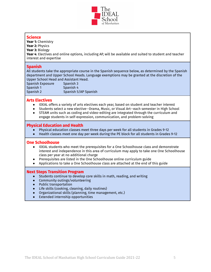

### **Science**

**Year 1:** Chemistry **Year 2:** Physics **Year 3:** Biology **Year 4**: Electives and online options, including AP, will be available and suited to student and teacher interest and expertise

#### **Spanish**

All students take the appropriate course in the Spanish sequence below, as determined by the Spanish department and Upper School Heads. Language exemptions may be granted at the discretion of the Upper School Head and Assistant Head.

Spanish Exposure Spanish 3 Spanish 1 Spanish 4<br>Spanish 2 Spanish 5 Spanish 5/AP Spanish

#### **Arts Electives**

- IDEAL offers a variety of arts electives each year, based on student and teacher interest
- Students select a new elective--Drama, Music, or Visual Art--each semester in High School ● STEAM units such as coding and video-editing are integrated through the curriculum and
- engage students in self-expression, communication, and problem-solving

#### **Physical Education and Health**

- Physical education classes meet three days per week for all students in Grades 9-12
- Health classes meet one day per week during the PE block for all students in Grades 9-12

#### **One Schoolhouse**

- IDEAL students who meet the prerequisites for a One Schoolhouse class and demonstrate interest and independence in this area of curriculum may apply to take one One Schoolhouse class per year at no additional charge
- Prerequisites are listed in the One Schoolhouse online curriculum guide
- Applications to take a One Schoolhouse class are attached at the end of this guide

#### **Next Steps Transition Program**

- Students continue to develop core skills in math, reading, and writing
- Community outings/volunteering
- Public transportation
- Life skills (cooking, cleaning, daily routines)
- Organizational skills (planning, time management, etc.)
- **Extended internship opportunities**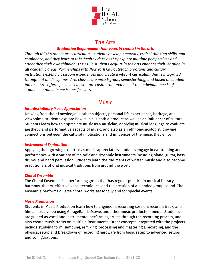

# The Arts

### *Graduation Requirement: Four years (4 credits) in the arts*

<span id="page-6-0"></span>*Through IDEAL's robust arts curriculum, students develop creativity, critical thinking skills, and confidence, and they learn to take healthy risks as they explore multiple perspectives and strengthen their own thinking. The skills students acquire in the arts enhance their learning in all academic areas. Partnerships with New York City outreach programs and cultural institutions extend classroom experiences and create a vibrant curriculum that is integrated throughout all disciplines. Arts classes are mixed-grade, semester-long, and based on student interest. Arts offerings each semester are custom-tailored to suit the individual needs of students enrolled in each specific class.*

# Music

### <span id="page-6-1"></span>*Interdisciplinary Music Appreciation*

Drawing from their knowledge in other subjects, personal life experiences, heritage, and viewpoints, students explore how music is both a product as well as an influencer of culture. Students learn how to appreciate music as a musician, applying musical language to evaluate aesthetic and performative aspects of music, and also as an ethnomusicologist, drawing connections between the cultural implications and influences of the music they enjoy.

#### *Instrumental Exploration*

Applying their growing expertise as music appreciators, students engage in ear training and performance with a variety of melodic and rhythmic instruments including piano, guitar, bass, drums, and hand percussion. Students learn the rudiments of written music and also become practitioners of oral musical traditions from around the world.

#### *Choral Ensemble*

The Choral Ensemble is a performing group that has regular practice in musical literacy, harmony, theory, effective vocal techniques, and the creation of a blended group sound. The ensemble performs diverse choral works seasonally and for special events.

#### *Music Production*

Students in Music Production learn how to engineer a recording session, record a track, and film a music video using GarageBand, iMovie, and other music production media. Students are guided as vocal and instrumental performing artists through the recording process, and also create music tracks on multiple instruments. Other concepts integrated with the projects include studying form, sampling, remixing, processing and mastering a recording, and the physical setup and breakdown of recording hardware from basic setup to advanced setups and configurations.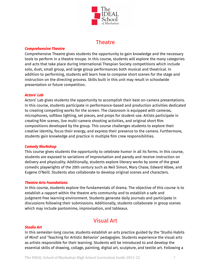

# **Theatre**

#### <span id="page-7-0"></span>*Comprehensive Theatre*

Comprehensive Theatre gives students the opportunity to gain knowledge and the necessary tools to perform in a theatre troupe. In this course, students will explore the many categories and acts that take place during International Thespian Society competitions which include solo, duet, small group, and large group performances both musical and theatrical. In addition to performing, students will learn how to compose short scenes for the stage and instruction on the directing process. Skills built in this unit may result in schoolwide presentation or future competition.

#### *Actors' Lab*

Actors' Lab gives students the opportunity to accomplish their best on-camera presentations. In this course, students participate in performance-based and production activities dedicated to creating compelling works for the screen. The classroom is equipped with cameras, microphones, softbox lighting, set pieces, and props for student use. Artists participate in creating film scenes, live multi-camera shooting activities, and original short film compositions developed by the group. This course challenges students to explore their creative identity, focus their energy, and express their presence to the camera. Furthermore, students gain knowledge and practice in multiple film crew responsibilities.

#### *Comedy Workshop*

This course gives students the opportunity to celebrate humor in all its forms. In this course, students are exposed to variations of improvisation and parody and receive instruction on delivery and physicality. Additionally, students explore literary works by some of the great comedic playwrights of the 20th century such as Neil Simon, Mary Chase, Edward Albee, and Eugene O'Neill. Students also collaborate to develop original scenes and characters.

#### *Theatre Arts Foundations*

In this course, students explore the fundamentals of drama. The objective of this course is to establish a rapport within the theatre arts community and to establish a safe and judgment-free learning environment. Students generate daily journals and participate in discussions following their submissions. Additionally, students collaborate in group scenes which may include pantomime, improvisation, and tableaux.

# Visual Art

#### <span id="page-7-1"></span>*Studio Art*

In this semester-long course, students establish an arts practice guided by the 'Studio Habits of Mind' and 'Teaching for Artistic Behavior' pedagogies. Students experience the visual arts as artists responsible for their learning. Students will be introduced to and develop the essential skills of drawing, collage, painting, digital art, sculpture, and textile art. Following a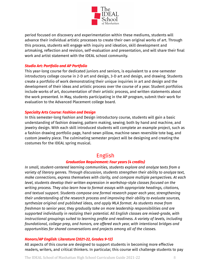

period focused on discovery and experimentation within these mediums, students will advance their individual artistic processes to create their own original works of art. Through this process, students will engage with inquiry and ideation, skill development and artmaking, reflection and revision, self-evaluation and presentation, and will share their final work and artist statement with the IDEAL school community.

### *Studio Art: Portfolio and AP Portfolio*

This year-long course for dedicated juniors and seniors, is equivalent to a one-semester introductory college course in 2-D art and design, 3-D art and design, and drawing. Students create a portfolio of work demonstrating their unique inquiries in art and design and the development of their ideas and artistic process over the course of a year. Student portfolios include works of art, documentation of their artistic process, and written statements about the work presented. In May, students participating in the AP program, submit their work for evaluation to the Advanced Placement college board.

#### *Specialty Arts Course: Fashion and Design*

In this semester-long Fashion and Design introductory course, students will gain a basic understanding of fashion drawing, pattern making, sewing; both by hand and machine, and jewelry design. With each skill introduced students will complete an example project, such as a fashion drawing portfolio page, hand-sewn pillow, machine-sewn reversible tote bag, and custom jewelry piece. The culminating semester project will be designing and creating the costumes for the IDEAL spring musical.

# English

#### *Graduation Requirement: Four years (4 credits)*

<span id="page-8-0"></span>*In small, student-centered learning communities, students explore and analyze texts from a variety of literary genres. Through discussion, students strengthen their ability to analyze text, make connections, express themselves with clarity, and compare multiple perspectives. At each level, students develop their written expression in workshop-style classes focused on the writing process. They also learn how to format essays with appropriate headings, citations, and textual support. Students compose one formal research paper each year, strengthening their understanding of the research process and improving their ability to evaluate sources, synthesize original and published ideas, and apply MLA format. As students move from freshman to senior year, they gradually take on more leadership responsibilities and are supported individually in realizing their potential. All English classes are mixed-grade, with instructional groupings suited to learning profile and readiness. A variety of levels, including foundational, college-prep, and honors, are offered each year, with intentional bridges and opportunities for shared conversations and projects among all of the classes.*

### *Honors/AP English: Literature (2021-22, Grades 9-12)*

All aspects of this course are designed to support students in becoming more effective readers, writers, and critical thinkers. In particular, this course will challenge students to pay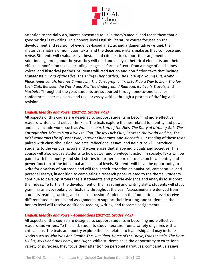

attention to the daily arguments presented to us in today's media, and teach them that all good writing is rewriting. This honors-level English Literature course focuses on the development and revision of evidence-based analytic and argumentative writing, the rhetorical analysis of nonfiction texts, and the decisions writers make as they compose and revise. Students will evaluate, synthesize, and cite text to support their arguments. Additionally, throughout the year they will read and analyze rhetorical elements and their effects in nonfiction texts--including images as forms of text--from a range of disciplines, voices, and historical periods. Students will read fiction and non-fiction texts that include *Frankenstein, Lord of the Flies, The Things They Carried, The Diary of a Young Girl, A Small Place, Americanah, Interior Chinatown, The Cartographer Tries to Map a Way to Zion, The Joy Luck Club, Between the World and Me, The Underground Railroad, Gulliver's Travels,* and *Macbeth*. Throughout the year, students are supported through one-to-one teacher conferences, peer revisions, and regular essay writing through a process of drafting and revision.

#### *English: Identity and Power (2021-22, Grades 9-12)*

All aspects of this course are designed to support students in becoming more effective readers, writers, and critical thinkers. The texts explore themes related to identity and power and may include works such as *Frankenstein, Lord of the Flies, The Diary of a Young Girl, The Cartographer Tries to Map a Way to Zion, The Joy Luck Club, Between the World and Me, The Brief Wondrous Life of Oscar Wao, Interior Chinatown,* and *Macbeth*. Our reading of these texts paired with class discussion, projects, reflections, essays, and field trips will introduce students to the various factors and experiences that shape individuals and societies. This course will also expose students to how power and privilege function in society. Texts will be paired with film, poetry, and short stories to further inspire discourse on how identity and power function at the individual and societal levels. Students will have the opportunity to write for a variety of purposes and will focus their attention on analytical, comparative, and personal essays, in addition to completing a research paper related to the theme. Students continue to develop strong thesis statements and provide evidence and analysis to support their ideas. To further the development of their reading and writing skills, students will study grammar and vocabulary contextually throughout the year. Assessments are derived from students' reading, writing, and class discussion. Students in the foundational level receive differentiated materials and assignments to support their learning, and students in the honors level will receive additional reading, writing, and research assignments.

### *English: Identity and Power--Foundations (2021-22, Grades 9-12)*

All aspects of this course are designed to support students in becoming more effective readers and writers. To this end, students study literature from a variety of genres with a critical lens. The texts and poetry explore themes related to leadership and may include works such as *Who Was Ann Frank?*, *The Outsiders*, *Home of the Brave*, *Frankenstein, The Hate U Give, My Friend the Enemy,* and *Night.* While students have the opportunity to write for a variety of purposes, they focus their attention on personal narratives, comparative essays,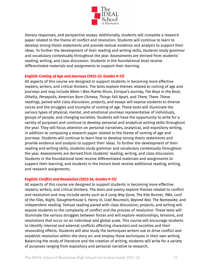

literary responses, and perspective essays. Additionally, students will complete a research paper related to the theme of conflict and resolution. Students will continue to learn to develop strong thesis statements and provide textual evidence and analysis to support their ideas. To further the development of their reading and writing skills, students study grammar and vocabulary contextually throughout the year. Assessments are derived from students' reading, writing, and class discussion. Students in the foundational level receive differentiated materials and assignments to support their learning.

#### *English: Coming of Age and Journeys (2022-23, Grades 9-12)*

All aspects of this course are designed to support students in becoming more effective readers, writers, and critical thinkers. The texts explore themes related to coming of age and journeys and may include *When I Was Puerto Rican, Enrique's Journey, The Boys in the Boat, Othello, Persepolis, American Born Chinese, Things Fall Apart,* and *There, There*. These readings, paired with class discussion, projects, and essays will expose students to diverse voices and the struggles and triumphs of coming of age. These texts will illuminate the various types of physical, mental, and emotional journeys representative of individuals, groups of people, and changing societies. Students will have the opportunity to write for a variety of purposes and continue to develop personal and analytical writing skills throughout the year. They will focus attention on personal narratives, analytical, and expository writing, in addition to composing a research paper related to the theme of coming of age and journeys. Students will continue to learn how to develop strong thesis statements and provide evidence and analysis to support their ideas. To further the development of their reading and writing skills, students study grammar and vocabulary contextually throughout the year. Assessments are derived from students' reading, writing, and class discussion. Students in the foundational level receive differentiated materials and assignments to support their learning, and students in the honors level receive additional reading, writing, and research assignments.

### *English: Conflict and Resolution (2023-24, Grades 9-12)*

All aspects of this course are designed to support students in becoming more effective readers, writers, and critical thinkers. The texts and poetry explore themes related to conflict and resolution and may include works such as *A Long Way Gone, The Kite Runner, 1984, Lord of the Flies, Night, Slaughterhouse 5, Henry VI, Cold Mountain, Beyond War, The Namesake,* and independent reading. Textual reading paired with class discussion, projects, and writing will expose students to the complexity of conflict and the process of resolution. These texts will illuminate the various struggles between forces and will explore relationships, tensions, and resolutions that occur on an individual and global scale. This course will encourage students to identify internal and external conflicts affecting characters and societies and their resounding effects. Students will also study the techniques writers use to drive conflict and establish resolution within the story arc and employ these techniques in their own writing. Balancing the study of literature and the creation of writing, students will write for a variety of purposes ranging from expository and personal narrative to research,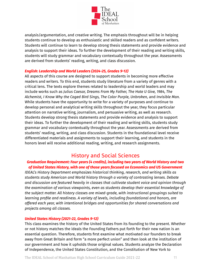

analysis/argumentation, and creative writing. The emphasis throughout will be in helping students continue to develop as enthusiastic and skilled readers and as confident writers. Students will continue to learn to develop strong thesis statements and provide evidence and analysis to support their ideas. To further the development of their reading and writing skills, students will study grammar and vocabulary contextually throughout the year. Assessments are derived from students' reading, writing, and class discussion.

#### *English: Leadership and World Leaders (2024-25, Grades 9-12)*

All aspects of this course are designed to support students in becoming more effective readers and writers. To this end, students study literature from a variety of genres with a critical lens. The texts explore themes related to leadership and world leaders and may include works such as *Julius Caesar, Dreams From My Father, The Hate U Give, 1984, The Alchemist, I Know Why the Caged Bird Sings, The Color Purple, Unbroken,* and *Invisible Man.* While students have the opportunity to write for a variety of purposes and continue to develop personal and analytical writing skills throughout the year, they focus particular attention on narrative writing, journalism, and persuasive writing, as well as research. Students develop strong thesis statements and provide evidence and analysis to support their ideas. To further the development of their reading and writing skills, students study grammar and vocabulary contextually throughout the year. Assessments are derived from students' reading, writing, and class discussion. Students in the foundational level receive differentiated materials and assignments to support their learning, and students in the honors level will receive additional reading, writing, and research assignments.

# History and Social Sciences

### <span id="page-11-0"></span>*Graduation Requirement: Four years (4 credits), including two years of World History and two of United States History, with one of those years focused on Economics and US Government*

*IDEAL's History Department emphasizes historical thinking, research, and writing skills as students study American and World history through a variety of contrasting lenses. Debate and discussion are featured heavily in classes that cultivate student voice and opinion through the examination of various viewpoints, even as students develop their essential knowledge of the subject matter. All history classes are mixed-grade, with instructional groupings suited to learning profile and readiness. A variety of levels, including foundational and honors, are offered each year, with intentional bridges and opportunities for shared conversations and projects among all classes.*

### *United States History (2021-22, Grades 9-12)*

This class examines the history of the United States from its founding to the present. Whether or not history matches the ideals the Founding Fathers put forth for their new nation is an essential question. Therefore, students first examine what motivated our founders to break away from Great Britain and form "a more perfect union" and then look at the institution of our government and how it upholds those original values. Students analyze the Declaration of Independence, the United States Constitution, and the Constitution of New York to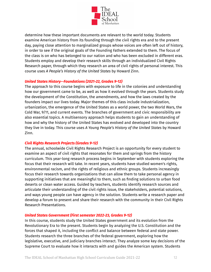

determine how these important documents are relevant to the world today. Students examine American history from its founding through the civil rights era and to the present day, paying close attention to marginalized groups whose voices are often left out of history, in order to see if the original goals of the Founding Fathers extended to them. The focus of the class is on who has belonged to our nation and who has been excluded in different eras. Students employ and develop their research skills through an individualized Civil Rights Research paper, through which they research an area of civil rights of personal interest. This course uses *A People's History of the United States* by Howard Zinn.

#### *United States History--Foundations (2021-22, Grades 9-12)*

The approach to this course begins with exposure to life in the colonies and understanding how our government came to be, as well as how it evolved through the years. Students study the development of the Constitution, the amendments, and how the laws created by the founders impact our lives today. Major themes of this class include industrialization, urbanization, the emergence of the United States as a world power, the two World Wars, the Cold War, 9/11, and current events. The branches of government and civic responsibility are also essential topics. A multisensory approach helps students to gain an understanding of how and why the history of the United States has evolved and developed into the country they live in today. This course uses *A Young People's History of the United States* by Howard Zinn.

### *Civil Rights Research Projects (Grades 9-12)*

The annual, schoolwide Civil Rights Research Project is an opportunity for every student to examine an aspect of civil rights that resonates for them and springs from the history curriculum. This year-long research process begins in September with students exploring the focus that their research will take. In recent years, students have studied women's rights, environmental racism, and the rights of religious and ethnic groups. Students increasingly focus their research towards organizations that can allow them to take personal agency in supporting initiatives that are meaningful to them, such as finding solutions to urban food deserts or clean water access. Guided by teachers, students identify research sources and articulate their understanding of the civil rights issue, the stakeholders, potential solutions, and ways young people can have agency in the solution. Students write a research paper and develop a forum to present and share their research with the community in their Civil Rights Research Presentations.

### *United States Government (First semester 2022-23, Grades 9-12)*

In this course, students study the United States government and its evolution from the Revolutionary Era to the present. Students begin by analyzing the U.S. Constitution and the forces that shaped it, including the conflict and balance between federal and state power. Students research the three branches of the federal government, exploring how the legislative, executive, and judiciary branches interact. They analyze some key decisions of the Supreme Court to evaluate how it interacts with and guides the American system. Students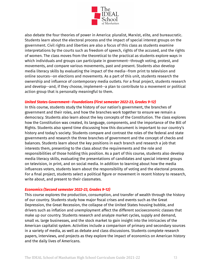

also debate the four theories of power in America: pluralist, Marxist, elite, and bureaucratic. Students learn about the electoral process and the impact of special interest groups on the government. Civil rights and liberties are also a focus of this class as students examine interpretations by the courts such as freedom of speech, rights of the accused, and the rights of women. The class moves from the theoretical to the practical as students explore ways in which individuals and groups can participate in government--through voting, protest, and movements, and compare various movements, past and present. Students also develop media literacy skills by evaluating the impact of the media--from print to television and online sources--on elections and movements. As a part of this unit, students research the ownership and influence of contemporary media outlets. For a final project, students research and develop--and, if they choose, implement--a plan to contribute to a movement or political action group that is personally meaningful to them.

#### *United States Government--Foundations (First semester 2022-23, Grades 9-12)*

In this course, students study the history of our nation's government, the branches of government and their roles, and how the branches work together to ensure we remain a democracy. Students also learn about the key concepts of the Constitution. The class explores how the Constitution was created, its language, components, and the importance of the Bill of Rights. Students also spend time discussing how this document is important to our country's history and today's society. Students compare and contrast the roles of the federal and state governments and research the three branches of government and the concept of checks and balances. Students learn about the key positions in each branch and research a job that interests them, presenting to the class about the requirements and the role and responsibilities of those holding this position. As a part of this course, students also develop media literacy skills, evaluating the presentations of candidates and special interest groups on television, in print, and on social media. In addition to learning about how the media influences voters, students learn about the responsibility of voting and the electoral process. For a final project, students select a political figure or movement in recent history to research, write about, and present to their classmates.

#### *Economics (Second semester 2022-23, Grades 9-12)*

This course explores the production, consumption, and transfer of wealth through the history of our country. Students study how major fiscal crises and events such as the Great Depression, the Great Recession, the collapse of the United States housing bubble, and drivers such as inflation and unemployment affect the different socioeconomic classes that make up our country. Students research and analyze market cycles, supply and demand, small vs. large businesses, and the stock market to gain insight into the intricacies of the American capitalist system. Activities include a comparison of primary and secondary sources in a variety of media, as well as debate and class discussions. Students complete research papers, interviews, and projects as they explore the impact of economics on American history and the daily lives of Americans.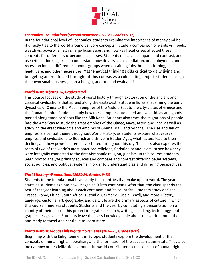

#### *Economics--Foundations (Second semester 2022-23, Grades 9-12)*

In the foundational level of Economics, students examine the importance of money and how it directly ties to the world around us. Core concepts include a comparison of wants vs. needs, wealth vs. poverty, small vs. large businesses, and how key fiscal crises affected these concepts for different socioeconomic classes. Students research, compare and contrast, and use critical thinking skills to understand how drivers such as inflation, unemployment, and recession impact different economic groups when obtaining jobs, homes, clothing, healthcare, and other necessities. Mathematical thinking skills critical to daily living and budgeting are reinforced throughout this course. As a culminating project, students design their own small business, plan a budget, and run and evaluate it.

#### *World History (2023-24, Grades 9-12)*

This course focuses on the study of world history through exploration of the ancient and classical civilizations that spread along the east/west latitude in Eurasia, spanning the early dynasties of China to the Muslim empires of the Middle East to the city-states of Greece and the Roman Empire. Students study how these empires interacted and what ideas and goods passed along trade corridors like the Silk Road. Students also trace the migrations of people into the Americas to study the great empires of the Olmec, Maya, Aztec, and Inca, as well as studying the great kingdoms and empires of Ghana, Mali, and Songhai. The rise and fall of empires is a central theme throughout World History, as students explore what causes empires and civilizations to flourish and thrive in Golden Ages, what factors lead to their decline, and how power centers have shifted throughout history. The class also explores the roots of two of the world's most practiced religions, Christianity and Islam, to see how they were integrally connected to the first Abrahamic religion, Judaism. In this course, students learn how to analyze primary sources and compare and contrast differing belief systems, social policies, and political systems in order to understand bias and differing perspectives.

### *World History--Foundations (2023-24, Grades 9-12)*

Students in the foundational level study the countries that make up our world. The year starts as students explore how Pangea split into continents. After that, the class spends the rest of the year learning about each continent and its countries. Students study ancient Greece, Rome, China, South Africa, Australia, Germany, Russia, Brazil, and more. History, language, customs, art, geography, and daily life are the primary aspects of culture in which this course immerses students. Students end the year by completing a presentation on a country of their choice; this project integrates research, writing, speaking, technology, and graphic design skills. Students leave the class knowledgeable about the world around them and ready to travel and continue to learn more.

#### *World History: Global Civil Rights Movements (2024-25, Grades 9-12)*

Beginning with the Enlightenment in Europe, students explore the development of the concepts of human rights, liberalism, and the formation of the secular nation-state. They also look at how other civilizations around the world contributed to the concept of human rights.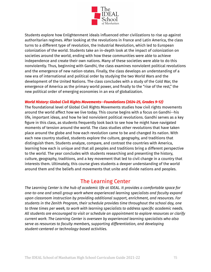

Students explore how Enlightenment ideals influenced other civilizations to rise up against authoritarian regimes. After looking at the revolutions in France and Latin America, the class turns to a different type of revolution, the Industrial Revolution, which led to European colonization of the world. Students take an in-depth look at the impact of colonization on societies around the world, ending with how these communities were able to achieve independence and create their own nations. Many of these societies were able to do this nonviolently. Thus, beginning with Gandhi, the class examines nonviolent political revolutions and the emergence of new nation-states. Finally, the class develops an understanding of a new era of international and political order by studying the two World Wars and the development of the United Nations. The class concludes with a study of the Cold War, the emergence of America as the primary world power, and finally to the "rise of the rest," the new political order of emerging economies in an era of globalization.

#### *World History: Global Civil Rights Movements--Foundations (2024-25, Grades 9-12)*

The foundational level of Global Civil Rights Movements studies how civil rights movements around the world affect how we live today. This course begins with a focus on Gandhi--his life, important ideas, and how he led nonviolent political revolutions. Gandhi serves as a key figure in this class, as students frequently look back to see how he might have navigated moments of tension around the world. The class studies other revolutions that have taken place around the globe and how each revolution came to be and changed its nation. With each new country studied, students explore the culture, geography, and traditions that distinguish them. Students analyze, compare, and contrast the countries with America, learning how each is unique and that all peoples and traditions bring a different perspective to the world. The year concludes with students researching and presenting the history, culture, geography, traditions, and a key movement that led to civil change in a country that interests them. Ultimately, this course gives students a deeper understanding of the world around them and the beliefs and movements that unite and divide nations and peoples.

# The Learning Center

<span id="page-15-0"></span>*The Learning Center is the hub of academic life at IDEAL. It provides a comfortable space for one-to-one and small group work where experienced learning specialists and faculty expand upon classroom instruction by providing additional support, enrichment, and resources. For students in the Zenith Program, their schedule provides time throughout the school day, one to three times per week, to work with learning specialists to address specific academic needs. All students are encouraged to visit or schedule an appointment to explore resources or clarify current work. The Learning Center is overseen by experienced learning specialists who also serve as resources to faculty members, supporting differentiation, and developing student-centered or technology-based activities.*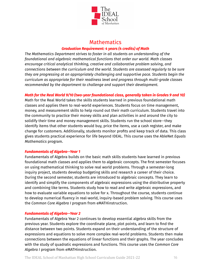

# **Mathematics**

## *Graduation Requirement: 4 years (4 credits) of Math*

<span id="page-16-0"></span>*The Mathematics Department strives to foster in all students an understanding of the foundational and algebraic mathematical functions that order our world. Math classes encourage critical analytical thinking, creative and collaborative problem solving, and connections between the curriculum and the world. Students are assessed regularly to be sure they are progressing at an appropriately challenging and supportive pace. Students begin the curriculum as appropriate for their readiness level and progress through multi-grade classes recommended by the department to challenge and support their development.*

*Math for the Real World 9/10 (two-year foundational class, generally taken in Grades 9 and 10)*

Math for the Real World takes the skills students learned in previous foundational math classes and applies them to real-world experiences. Students focus on time management, money, and measurement skills to help round out their math curriculum. Students travel into the community to practice their money skills and plan activities in and around the city to solidify their time and money management skills. Students run the school store--they identify items that other students would buy, price the items, use a cash register, and make change for customers. Additionally, students monitor profits and keep track of data. This class gives students practical experience for life beyond IDEAL. This course uses the AbleNet *Equals Mathematics* program.

### *Fundamentals of Algebra--Year 1*

Fundamentals of Algebra builds on the basic math skills students have learned in previous foundational math classes and applies them to algebraic concepts. The first semester focuses on using mathematical thinking to solve real world problems. Through a semester-long inquiry project, students develop budgeting skills and research a career of their choice. During the second semester, students are introduced to algebraic concepts. They learn to identify and simplify the components of algebraic expressions using the distributive property and combining like terms. Students study how to read and write algebraic expressions, and how to evaluate variable equations to solve for x. Throughout the course, students continue to develop numerical fluency in real-world, inquiry-based problem solving. This course uses the *Common Core Algebra I* program from eMATHinstruction.

### *Fundamentals of Algebra--Year 2*

Fundamentals of Algebra Year 2 continues to develop essential algebra skills from the previous year. Students explore the coordinate plane, plot points, and learn to find the distance between two points. Students expand on their understanding of the structure of expressions and equations to solve more complex real-world problems. Students then make connections between the equations of linear functions and their graphs. The year concludes with the study of quadratic expressions and functions. This course uses the *Common Core Algebra I* program from eMATHinstruction.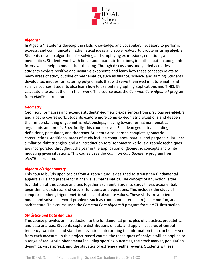

#### *Algebra 1*

In Algebra 1, students develop the skills, knowledge, and vocabulary necessary to perform, express, and communicate mathematical ideas and solve real-world problems using algebra. Students develop algorithms for solving and simplifying expressions, equations, and inequalities. Students work with linear and quadratic functions, in both equation and graph forms, which help to model their thinking. Through discussions and guided activities, students explore positive and negative exponents and learn how these concepts relate to many areas of study outside of mathematics, such as finance, science, and gaming. Students develop techniques for factoring polynomials that will serve them well in future math and science courses. Students also learn how to use online graphing applications and TI-83/84 calculators to assist them in their work. This course uses the *Common Core Algebra I* program from eMATHinstruction.

#### *Geometry*

Geometry formalizes and extends students' geometric experiences from previous pre-algebra and algebra coursework. Students explore more complex geometric situations and deepen their understanding of geometric relationships, moving toward formal mathematical arguments and proofs. Specifically, this course covers Euclidean geometry including definitions, postulates, and theorems. Students also learn to complete geometric constructions. Additional areas of study include congruence, parallel and perpendicular lines, similarity, right triangles, and an introduction to trigonometry. Various algebraic techniques are incorporated throughout the year in the application of geometric concepts and while modeling given situations. This course uses the *Common Core Geometry* program from eMATHinstruction.

#### *Algebra 2/Trigonometry*

This course builds upon topics from Algebra 1 and is designed to strengthen fundamental algebra skills and prepare for higher-level mathematics. The concept of a function is the foundation of this course and ties together each unit. Students study linear, exponential, logarithmic, quadratic, and circular functions and equations. This includes the study of complex numbers, trigonometric ratios, and absolute values. These skills are applied to model and solve real-world problems such as compound interest, projectile motion, and architecture. This course uses the *Common Core Algebra II* program from eMATHinstruction.

#### *Statistics and Data Analysis*

This course provides an introduction to the fundamental principles of statistics, probability, and data analysis. Students explore distributions of data and apply measures of central tendency, variation, and standard deviation, interpreting the information that can be derived from each measure. In this project-based course, the techniques of analysis will be applied to a range of real-world phenomena including sporting outcomes, the stock market, population dynamics, virus spread, and the statistics of extreme weather events. Students will see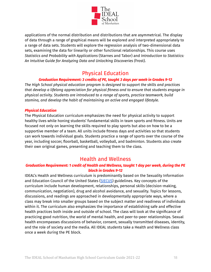

applications of the normal distribution and distributions that are asymmetrical. The display of data through a range of graphical means will be explored and interpreted appropriately to a range of data sets. Students will explore the regression analysis of two-dimensional data sets, examining the data for linearity or other functional relationships. This course uses *Statistics and Probability with Applications* (Starnes and Tabor) and *Introduction to Statistics: An Intuitive Guide for Analyzing Data and Unlocking Discoveries (*Frost).

# Physical Education

# *Graduation Requirement: 3 credits of PE, taught 3 days per week in Grades 9-12*

<span id="page-18-0"></span>*The High School physical education program is designed to support the skills and practices that develop a lifelong appreciation for physical fitness and to ensure that students engage in physical activity. Students are introduced to a range of sports, practice teamwork, build stamina, and develop the habit of maintaining an active and engaged lifestyle.*

#### *Physical Education*

The Physical Education curriculum emphasizes the need for physical activity to support healthy lives while honing students' fundamental skills in team sports and fitness. Units are focused not only on learning the skills required to play sports but also on how to be a supportive member of a team. All units include fitness days and activities so that students can work towards individual goals. Students practice a range of sports over the course of the year, including soccer, floorball, basketball, volleyball, and badminton. Students also create their own original games, presenting and teaching them to the class.

# Health and Wellness

# <span id="page-18-1"></span>*Graduation Requirement: 1 credit of Health and Wellness, taught 1 day per week, during the PE block in Grades 9-12*

IDEAL's Health and Wellness curriculum is predominantly based on the Sexuality Information and Education Council of the United States ([SIECUS](http://www.siecus.org/)) guidelines. Key concepts of the curriculum include human development, relationships, personal skills (decision-making, communication, negotiation), drug and alcohol avoidance, and sexuality. Topics for lessons, discussions, and readings are approached in developmentally appropriate ways, where a class may break into smaller groups based on the subject matter and readiness of individuals within it. The curriculum also emphasizes the importance of establishing safe and effective health practices both inside and outside of school. The class will look at the significance of practicing good nutrition, the world of mental health, and peer-to-peer relationships. Sexual health encompasses discussions of behavior, consent, sexually transmitted diseases, identity, and the role of society and the media. All IDEAL students take a Health and Wellness class once a week during the PE block.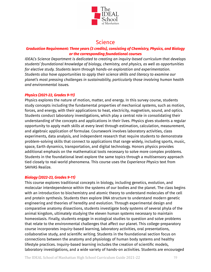

# **Science**

# <span id="page-19-0"></span>*Graduation Requirement: Three years (3 credits), consisting of Chemistry, Physics, and Biology or the corresponding foundational courses*

*IDEAL's Science Department is dedicated to creating an inquiry-based curriculum that develops students' foundational knowledge of biology, chemistry, and physics, as well as opportunities for elective study. Students learn through hands-on exploration and experimentation. Students also have opportunities to apply their science skills and literacy to examine our planet's most pressing challenges in sustainability, particularly those involving human health and environmental issues.*

# *Physics (2021-22, Grades 9-11)*

Physics explores the nature of motion, matter, and energy. In this survey course, students study concepts including the fundamental properties of mechanical systems, such as motion, forces, and energy, with their applications to heat, electricity, magnetism, sound, and optics. Students conduct laboratory investigations, which play a central role in consolidating their understanding of the concepts and applications in their lives. Physics gives students a regular opportunity to apply math skills at every level through estimation, calculation, measurement, and algebraic application of formulae. Coursework involves laboratory activities, class experiments, data analysis, and independent research that require students to demonstrate problem-solving skills that connect to applications that range widely, including sports, music, space, Earth dynamics, transportation, and digital technology. Honors physics provides additional emphasis on the mathematical tools necessary to solve more complex problems. Students in the foundational level explore the same topics through a multisensory approach tied closely to real-world phenomena. This course uses the *Experience Physics* text from SAVVAS Realize.

### *Biology (2022-23, Grades 9-11)*

This course explores traditional concepts in biology, including genetics, evolution, and molecular interdependence within the systems of our bodies and the planet. The class begins with an introduction to biochemistry and atomic theory to understand molecules of the cell and protein synthesis. Students then explore DNA structure to understand modern genetic engineering and theories of heredity and evolution. Through experimental design and comparative anatomy dissections, students investigate body systems of several phyla of the animal kingdom, ultimately studying the eleven human systems necessary to maintain homeostasis. Finally, students engage in ecological studies to question and solve problems that relate to the environmental challenges that affect our planet. This college-preparatory course incorporates inquiry-based learning, laboratory activities, oral presentations, collaborative study, and scientific writing. Students in the foundational section focus on connections between the anatomy and physiology of human body systems and healthy lifestyle practices. Inquiry-based learning includes the creation of scientific models, laboratory investigations, and a wide variety of hands-on activities. Students are encouraged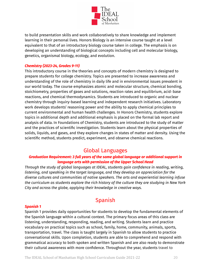

to build presentation skills and work collaboratively to share knowledge and implement learning in their personal lives. Honors Biology is an intensive course taught at a level equivalent to that of an introductory biology course taken in college. The emphasis is on developing an understanding of biological concepts including cell and molecular biology, genetics, organismal biology, ecology, and evolution.

# *Chemistry (2023-24, Grades 9-11)*

This introductory course in the theories and concepts of modern chemistry is designed to prepare students for college chemistry. Topics are presented to increase awareness and understanding of the role of chemistry in daily life and in environmental issues prevalent in our world today. The course emphasizes atomic and molecular structure, chemical bonding, stoichiometry, properties of gases and solutions, reaction rates and equilibrium, acid‐base reactions, and chemical thermodynamics. Students are introduced to organic and nuclear chemistry through inquiry-based learning and independent research initiatives. Laboratory work develops students' reasoning power and the ability to apply chemical principles to current environmental and human health challenges. In Honors Chemistry, students explore topics in additional depth and additional emphasis is placed on the formal lab report and analysis of data. In Foundations of Chemistry, students are introduced to the study of matter and the practices of scientific investigation. Students learn about the physical properties of solids, liquids, and gases, and they explore changes in states of matter and density. Using the scientific method, students predict, experiment, and observe chemical reactions.

# Global Languages

# <span id="page-20-0"></span>*Graduation Requirement: 3 full years of the same global language or additional support in language arts with permission of the Upper School Head*

*Through the study of global languages at IDEAL, students gain confidence in reading, writing, listening, and speaking in the target language, and they develop an appreciation for the diverse cultures and communities of native speakers. The arts and experiential learning infuse the curriculum as students explore the rich history of the culture they are studying in New York City and across the globe, applying their knowledge in creative ways.*

# Spanish

### <span id="page-20-1"></span>*Spanish 1*

Spanish 1 provides daily opportunities for students to develop the fundamental elements of the Spanish language within a cultural context. The primary focus areas of this class are listening, understanding, responding, reading, and writing. Students learn and practice vocabulary on practical topics such as school, family, home, community, animals, sports, transportation, travel. The class is taught largely in Spanish to allow students to practice conversational skills. Upon completion, students are able to comprehend and respond with grammatical accuracy to both spoken and written Spanish and are also ready to demonstrate their cultural awareness with more confidence. Throughout the year, students travel to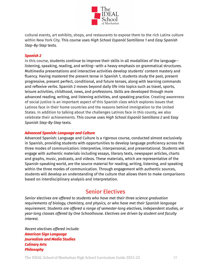

cultural events, art exhibits, shops, and restaurants to expose them to the rich Latinx culture within New York City. This course uses *High School Espanòl Santillana 1* and *Easy Spanish Step-By-Step* texts*.*

### *Spanish 2*

In this course, students continue to improve their skills in all modalities of the language- listening, speaking, reading, and writing--with a heavy emphasis on grammatical structures. Multimedia presentations and interactive activities develop students' content mastery and fluency. Having mastered the present tense in Spanish 1, students study the past, present progressive, present perfect, conditional, and future tenses, along with learning commands and reflexive verbs. Spanish 2 moves beyond daily life into topics such as travel, sports, leisure activities, childhood, news, and professions. Skills are developed through more advanced reading, writing, and listening activities, and speaking practice. Creating awareness of social justice is an important aspect of this Spanish class which explores issues that Latinos face in their home countries and the reasons behind immigration to the United States. In addition to talking about the challenges Latinos face in this county, we also celebrate their achievements. This course uses *High School Espanòl Santillana 2* and *Easy Spanish Step-By-Step* texts*.*

#### *Advanced Spanish: Language and Culture*

Advanced Spanish: Language and Culture is a rigorous course, conducted almost exclusively in Spanish, providing students with opportunities to develop language proficiency across the three modes of communication: interpretive, interpersonal, and presentational. Students will engage with authentic materials including essays, literary texts, newspaper articles, charts and graphs, music, podcasts, and videos. These materials, which are representative of the Spanish-speaking world, are the source material for reading, writing, listening, and speaking within the three modes of communication. Through engagement with authentic sources, students will develop an understanding of the culture that allows them to make comparisons based on interdisciplinary analysis and interpretation.

# Senior Electives

<span id="page-21-0"></span>*Senior electives are offered to students who have met their three science graduation requirements of biology, chemistry, and physics, or who have met their Spanish language requirement. Students are offered a range of semester-long electives, independent studies, or year-long classes offered by One Schoolhouse. Electives are driven by student and faculty interest.*

*Recent electives offered include: American Sign Language Journalism and Media Studies Culinary Arts Philosophy*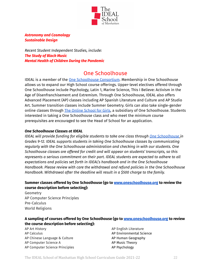

*Astronomy and Cosmology Sustainable Design*

*Recent Student Independent Studies, include: The Study of Black Music Mental Health of Children During the Pandemic*

# One Schoolhouse

<span id="page-22-0"></span>IDEAL is a member of the One [Schoolhouse](http://www.oneschoolhouse.org/our-schools.html) Consortium. Membership in One Schoolhouse allows us to expand our High School course offerings. Upper-level electives offered through One Schoolhouse include Psychology, Latin 1, Marine Science, This I Believe: Activism in the Age of Disenfranchisement and Extremism. Through One Schoolhouse, IDEAL also offers Advanced Placement (AP) classes including AP Spanish Literature and Culture and AP Studio Art. Summer transition classes include Summer Geometry. Girls can also take single-gender online classes through The Online [School](http://www.oneschoolhouse.org/history.html) for Girls, a subsidiary of One Schoolhouse. Students interested in taking a One Schoolhouse class and who meet the minimum course prerequisites are encouraged to see the Head of School for an application.

# *One Schoolhouse Classes at IDEAL*

*IDEAL will provide funding for eligible students to take one class through One [Schoolhouse](https://www.oneschoolhouse.org/) in Grades 9-12. IDEAL supports students in taking One Schoolhouse classes by communicating regularly with the One Schoolhouse administration and checking in with our students. One Schoolhouse classes are offered for credit and will appear on students' transcripts, so this represents a serious commitment on their part. IDEAL students are expected to adhere to all expectations and policies set forth in IDEAL's handbook and in the One Schoolhouse Handbook. Please review with care the withdrawal and refund policies in the One Schoolhouse Handbook. Withdrawal after the deadline will result in a \$500 charge to the family.*

# **Summer classes offered by One Schoolhouse (go to [www.oneschoolhouse.org](https://www.oneschoolhouse.org/summer.html) to review the course description before selecting):**

Geometry AP Computer Science Principles Pre-Calculus World Religions

# **A sampling of courses offered by One Schoolhouse (go to [www.oneschoolhouse.org](https://www.oneschoolhouse.org/for-students.html) to review the course description before selecting):**

AP Art History AP Calculus AP Chinese Language & Culture AP Computer Science A AP Computer Science Principles AP English Literature AP Environmental Science AP Human Geography AP Music Theory AP Psychology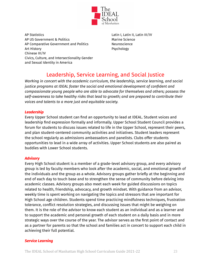

AP Statistics AP US Government & Politics AP Comparative Government and Politics Art History Chinese III/IV Civics, Culture, and Intersectionality Gender and Sexual Identity in America

Latin I, Latin II, Latin III/IV Marine Science Neuroscience Psychology

# Leadership, Service Learning, and Social Justice

<span id="page-23-0"></span>*Working in concert with the academic curriculum, the leadership, service learning, and social justice programs at IDEAL foster the social and emotional development of confident and compassionate young people who are able to advocate for themselves and others; possess the self-awareness to take healthy risks that lead to growth; and are prepared to contribute their voices and talents to a more just and equitable society.*

#### *Leadership*

Every Upper School student can find an opportunity to lead at IDEAL. Student voices and leadership find expression formally and informally. Upper School Student Council provides a forum for students to discuss issues related to life in the Upper School, represent their peers, and plan student-centered community activities and initiatives. Student leaders represent the school regularly as admissions ambassadors and panelists. Clubs offer students opportunities to lead in a wide array of activities. Upper School students are also paired as buddies with Lower School students.

#### *Advisory*

Every High School student is a member of a grade-level advisory group, and every advisory group is led by faculty members who look after the academic, social, and emotional growth of the individuals and the group as a whole. Advisory groups gather briefly at the beginning and end of each day to touch base and to strengthen the sense of community before delving into academic classes. Advisory groups also meet each week for guided discussions on topics related to health, friendship, advocacy, and growth mindset. With guidance from an advisor, weekly time is spent working on navigating the topics and stressors that are important for High School age children. Students spend time practicing mindfulness techniques, frustration tolerance, conflict resolution strategies, and discussing issues that might be weighing on them. It is the role of the advisor to know each student as an individual and as a learner and to support the academic and personal growth of each student on a daily basis and in more strategic ways over the course of the year. The advisor serves as the first point of contact and as a partner for parents so that the school and families act in concert to support each child in achieving their full potential.

#### *Service Learning*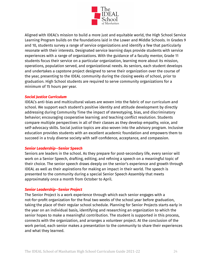

Aligned with IDEAL's mission to build a more just and equitable world, the High School Service Learning Program builds on the foundations laid in the Lower and Middle Schools. In Grades 9 and 10, students survey a range of service organizations and identify a few that particularly resonate with their interests. Designated service learning days provide students with service experiences with a range of organizations. With the guidance of a faculty mentor, Grade 11 students focus their service on a particular organization, learning more about its mission, operations, population served, and organizational needs. As seniors, each student develops and undertakes a capstone project designed to serve their organization over the course of the year, presenting to the IDEAL community during the closing weeks of school, prior to graduation. High School students are required to serve community organizations for a minimum of 15 hours per year.

#### *Social Justice Curriculum*

IDEAL's anti-bias and multicultural values are woven into the fabric of our curriculum and school. We support each student's positive identity and attitude development by directly addressing during Community Time the impact of stereotyping, bias, and discriminatory behavior; encouraging cooperative learning; and teaching conflict resolution. Students compare multiple perspectives in all of their classes as they develop empathy, voice, and self-advocacy skills. Social justice topics are also woven into the advisory program. Inclusive education provides students with an excellent academic foundation and empowers them to succeed in a truly diverse society with self-confidence, acceptance, and compassion.

### *Senior Leadership--Senior Speech*

Seniors are leaders in the school. As they prepare for post-secondary life, every senior will work on a Senior Speech, drafting, editing, and refining a speech on a meaningful topic of their choice. The senior speech draws deeply on the senior's experience and growth through IDEAL as well as their aspirations for making an impact in their world. The speech is presented to the community during a special Senior Speech Assembly that meets approximately once a month from October to April.

### *Senior Leadership--Senior Project*

The Senior Project is a work experience through which each senior engages with a not-for-profit organization for the final two weeks of the school year before graduation, taking the place of their regular school schedule. Planning for Senior Projects starts early in the year on an individual basis, identifying and researching an organization to which the senior hopes to make a meaningful contribution. The student is supported in this process, connects with the organization, and arranges a volunteer project. At the conclusion of the work period, each senior makes a presentation to the community to share their experiences and what they learned.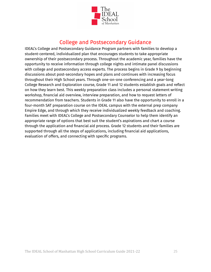

# College and Postsecondary Guidance

<span id="page-25-0"></span>IDEAL's College and Postsecondary Guidance Program partners with families to develop a student-centered, individualized plan that encourages students to take appropriate ownership of their postsecondary process. Throughout the academic year, families have the opportunity to receive information through college nights and intimate panel discussions with college and postsecondary access experts. The process begins in Grade 9 by beginning discussions about post-secondary hopes and plans and continues with increasing focus throughout their High School years. Through one-on-one conferencing and a year-long College Research and Exploration course, Grade 11 and 12 students establish goals and reflect on how they learn best. This weekly preparation class includes a personal statement writing workshop, financial aid overview, interview preparation, and how to request letters of recommendation from teachers. Students in Grade 11 also have the opportunity to enroll in a four-month SAT preparation course on the IDEAL campus with the external prep company Empire Edge, and through which they receive individualized weekly feedback and coaching. Families meet with IDEAL's College and Postsecondary Counselor to help them identify an appropriate range of options that best suit the student's aspirations and chart a course through the application and financial aid process. Grade 12 students and their families are supported through all the steps of applications, including financial aid applications, evaluation of offers, and connecting with specific programs.